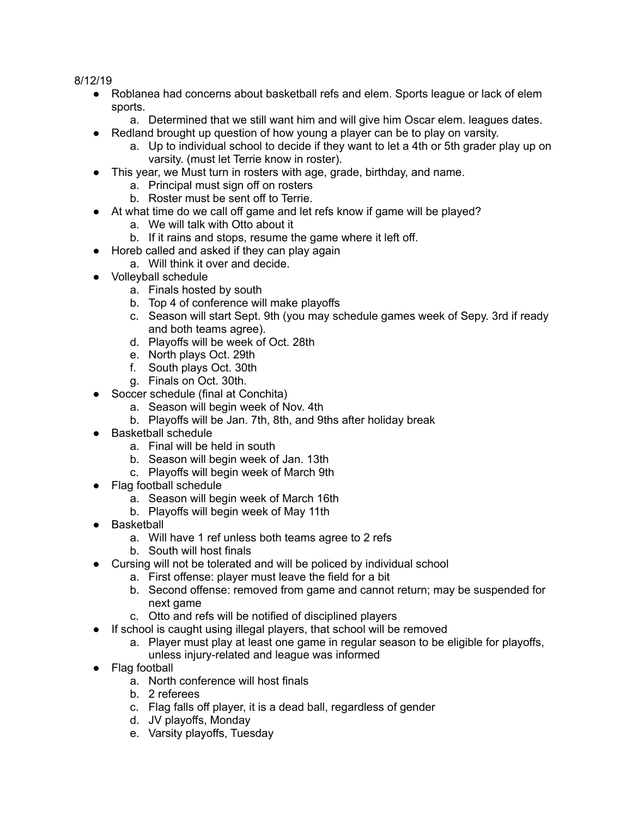8/12/19

- Roblanea had concerns about basketball refs and elem. Sports league or lack of elem sports.
	- a. Determined that we still want him and will give him Oscar elem. leagues dates.
- Redland brought up question of how young a player can be to play on varsity.
	- a. Up to individual school to decide if they want to let a 4th or 5th grader play up on varsity. (must let Terrie know in roster).
- This year, we Must turn in rosters with age, grade, birthday, and name.
	- a. Principal must sign off on rosters
	- b. Roster must be sent off to Terrie.
- At what time do we call off game and let refs know if game will be played?
	- a. We will talk with Otto about it
	- b. If it rains and stops, resume the game where it left off.
- Horeb called and asked if they can play again
	- a. Will think it over and decide.
- Volleyball schedule
	- a. Finals hosted by south
	- b. Top 4 of conference will make playoffs
	- c. Season will start Sept. 9th (you may schedule games week of Sepy. 3rd if ready and both teams agree).
	- d. Playoffs will be week of Oct. 28th
	- e. North plays Oct. 29th
	- f. South plays Oct. 30th
	- g. Finals on Oct. 30th.
- Soccer schedule (final at Conchita)
	- a. Season will begin week of Nov. 4th
	- b. Playoffs will be Jan. 7th, 8th, and 9ths after holiday break
- Basketball schedule
	- a. Final will be held in south
	- b. Season will begin week of Jan. 13th
	- c. Playoffs will begin week of March 9th
- Flag football schedule
	- a. Season will begin week of March 16th
	- b. Playoffs will begin week of May 11th
- Basketball
	- a. Will have 1 ref unless both teams agree to 2 refs
	- b. South will host finals
- Cursing will not be tolerated and will be policed by individual school
	- a. First offense: player must leave the field for a bit
	- b. Second offense: removed from game and cannot return; may be suspended for next game
	- c. Otto and refs will be notified of disciplined players
- If school is caught using illegal players, that school will be removed
	- a. Player must play at least one game in regular season to be eligible for playoffs, unless injury-related and league was informed
- Flag football
	- a. North conference will host finals
	- b. 2 referees
	- c. Flag falls off player, it is a dead ball, regardless of gender
	- d. JV playoffs, Monday
	- e. Varsity playoffs, Tuesday